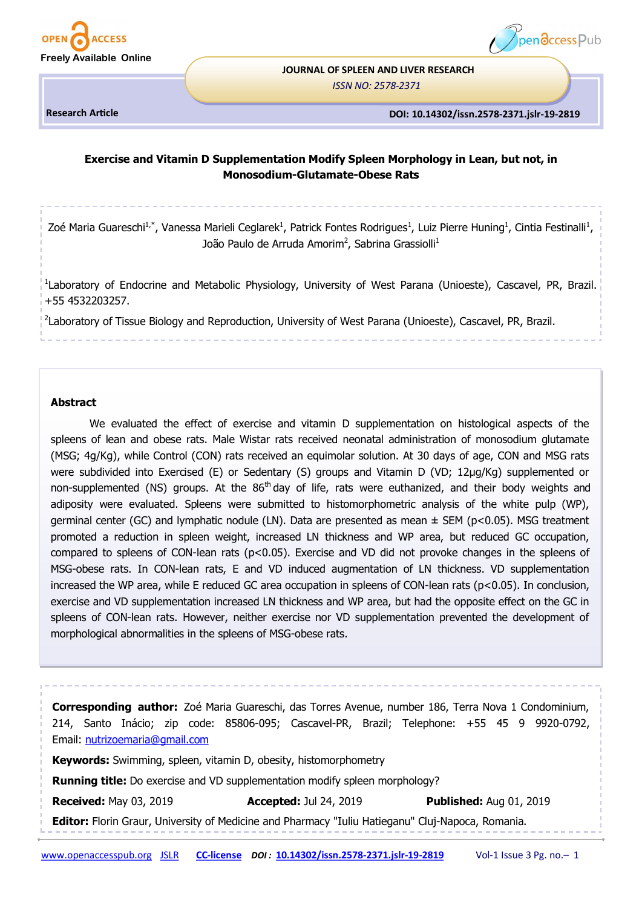



# **JOURNAL OF SPLEEN AND LIVER RESEARCH**

*ISSN NO: 2578-2371* 

**Research Article**

#### **DOI: 10.14302/issn.2578-2371.jslr-19-2819**

# **Exercise and Vitamin D Supplementation Modify Spleen Morphology in Lean, but not, in Monosodium-Glutamate-Obese Rats**

Zoé Maria Guareschi<sup>1,\*</sup>, Vanessa Marieli Ceglarek<sup>1</sup>, Patrick Fontes Rodrigues<sup>1</sup>, Luiz Pierre Huning<sup>1</sup>, Cintia Festinalli<sup>1</sup>, João Paulo de Arruda Amorim<sup>2</sup>, Sabrina Grassiolli<sup>1</sup>

<sup>1</sup>Laboratory of Endocrine and Metabolic Physiology, University of West Parana (Unioeste), Cascavel, PR, Brazil. +55 4532203257.

<sup>2</sup>Laboratory of Tissue Biology and Reproduction, University of West Parana (Unioeste), Cascavel, PR, Brazil.

## **Abstract**

We evaluated the effect of exercise and vitamin D supplementation on histological aspects of the spleens of lean and obese rats. Male Wistar rats received neonatal administration of monosodium glutamate (MSG; 4g/Kg), while Control (CON) rats received an equimolar solution. At 30 days of age, CON and MSG rats were subdivided into Exercised (E) or Sedentary (S) groups and Vitamin D (VD; 12µg/Kg) supplemented or non-supplemented (NS) groups. At the 86<sup>th</sup> day of life, rats were euthanized, and their body weights and adiposity were evaluated. Spleens were submitted to histomorphometric analysis of the white pulp (WP), germinal center (GC) and lymphatic nodule (LN). Data are presented as mean  $\pm$  SEM (p<0.05). MSG treatment promoted a reduction in spleen weight, increased LN thickness and WP area, but reduced GC occupation, compared to spleens of CON-lean rats (p<0.05). Exercise and VD did not provoke changes in the spleens of MSG-obese rats. In CON-lean rats, E and VD induced augmentation of LN thickness. VD supplementation increased the WP area, while E reduced GC area occupation in spleens of CON-lean rats (p<0.05). In conclusion, exercise and VD supplementation increased LN thickness and WP area, but had the opposite effect on the GC in spleens of CON-lean rats. However, neither exercise nor VD supplementation prevented the development of morphological abnormalities in the spleens of MSG-obese rats.

**Corresponding author:** Zoé Maria Guareschi, das Torres Avenue, number 186, Terra Nova 1 Condominium, 214, Santo Inácio; zip code: 85806-095; Cascavel-PR, Brazil; Telephone: +55 45 9 9920-0792, Email: [nutrizoemaria@gmail.com](mailto:nutrizoemaria@gmail.com)

**Keywords:** Swimming, spleen, vitamin D, obesity, histomorphometry

**Running title:** Do exercise and VD supplementation modify spleen morphology?

**Received:** May 03, 2019 **Accepted:** Jul 24, 2019 **Published:** Aug 01, 2019

**Editor:** Florin Graur, University of Medicine and Pharmacy "Iuliu Hatieganu" Cluj-Napoca, Romania.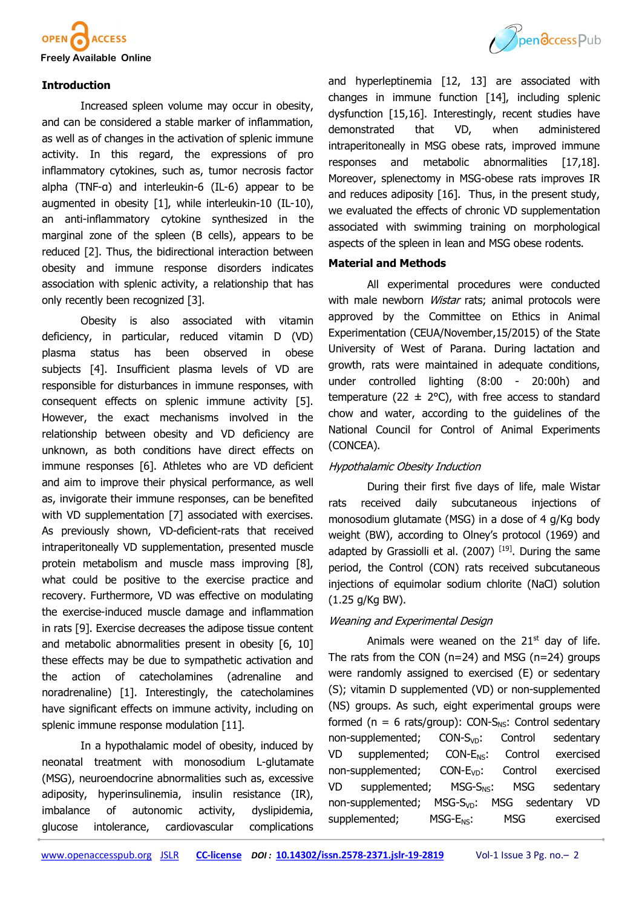

# **Introduction**

Increased spleen volume may occur in obesity, and can be considered a stable marker of inflammation, as well as of changes in the activation of splenic immune activity. In this regard, the expressions of pro inflammatory cytokines, such as, tumor necrosis factor alpha (TNF-α) and interleukin-6 (IL-6) appear to be augmented in obesity [1], while interleukin-10 (IL-10), an anti-inflammatory cytokine synthesized in the marginal zone of the spleen (B cells), appears to be reduced [2]. Thus, the bidirectional interaction between obesity and immune response disorders indicates association with splenic activity, a relationship that has only recently been recognized [3].

Obesity is also associated with vitamin deficiency, in particular, reduced vitamin D (VD) plasma status has been observed in obese subjects [4]. Insufficient plasma levels of VD are responsible for disturbances in immune responses, with consequent effects on splenic immune activity [5]. However, the exact mechanisms involved in the relationship between obesity and VD deficiency are unknown, as both conditions have direct effects on immune responses [6]. Athletes who are VD deficient and aim to improve their physical performance, as well as, invigorate their immune responses, can be benefited with VD supplementation [7] associated with exercises. As previously shown, VD-deficient-rats that received intraperitoneally VD supplementation, presented muscle protein metabolism and muscle mass improving [8], what could be positive to the exercise practice and recovery. Furthermore, VD was effective on modulating the exercise-induced muscle damage and inflammation in rats [9]. Exercise decreases the adipose tissue content and metabolic abnormalities present in obesity [6, 10] these effects may be due to sympathetic activation and the action of catecholamines (adrenaline and noradrenaline) [1]. Interestingly, the catecholamines have significant effects on immune activity, including on splenic immune response modulation [11].

In a hypothalamic model of obesity, induced by neonatal treatment with monosodium L-glutamate (MSG), neuroendocrine abnormalities such as, excessive adiposity, hyperinsulinemia, insulin resistance (IR), imbalance of autonomic activity, dyslipidemia, glucose intolerance, cardiovascular complications



and hyperleptinemia [12, 13] are associated with changes in immune function [14], including splenic dysfunction [15,16]. Interestingly, recent studies have demonstrated that VD, when administered intraperitoneally in MSG obese rats, improved immune responses and metabolic abnormalities [17,18]. Moreover, splenectomy in MSG-obese rats improves IR and reduces adiposity [16]. Thus, in the present study, we evaluated the effects of chronic VD supplementation associated with swimming training on morphological aspects of the spleen in lean and MSG obese rodents.

# **Material and Methods**

All experimental procedures were conducted with male newborn *Wistar* rats; animal protocols were approved by the Committee on Ethics in Animal Experimentation (CEUA/November,15/2015) of the State University of West of Parana. During lactation and growth, rats were maintained in adequate conditions, under controlled lighting (8:00 - 20:00h) and temperature (22  $\pm$  2°C), with free access to standard chow and water, according to the guidelines of the National Council for Control of Animal Experiments (CONCEA).

# Hypothalamic Obesity Induction

During their first five days of life, male Wistar rats received daily subcutaneous injections of monosodium glutamate (MSG) in a dose of 4 g/Kg body weight (BW), according to Olney's protocol (1969) and adapted by Grassiolli et al.  $(2007)$ <sup>[19]</sup>. During the same period, the Control (CON) rats received subcutaneous injections of equimolar sodium chlorite (NaCl) solution (1.25 g/Kg BW).

# Weaning and Experimental Design

Animals were weaned on the  $21<sup>st</sup>$  day of life. The rats from the CON ( $n=24$ ) and MSG ( $n=24$ ) groups were randomly assigned to exercised (E) or sedentary (S); vitamin D supplemented (VD) or non-supplemented (NS) groups. As such, eight experimental groups were formed ( $n = 6$  rats/group): CON-S<sub>NS</sub>: Control sedentary non-supplemented;  $CON-S<sub>VD</sub>$ : Control sedentary VD supplemented; CON-E<sub>NS</sub>: Control exercised non-supplemented; CON-E<sub>VD</sub>: Control exercised  $VD$  supplemented; MSG-S<sub>NS</sub>: MSG sedentary non-supplemented; MSG-S<sub>VD</sub>: MSG sedentary VD supplemented; MSG-E<sub>NS</sub>: MSG exercised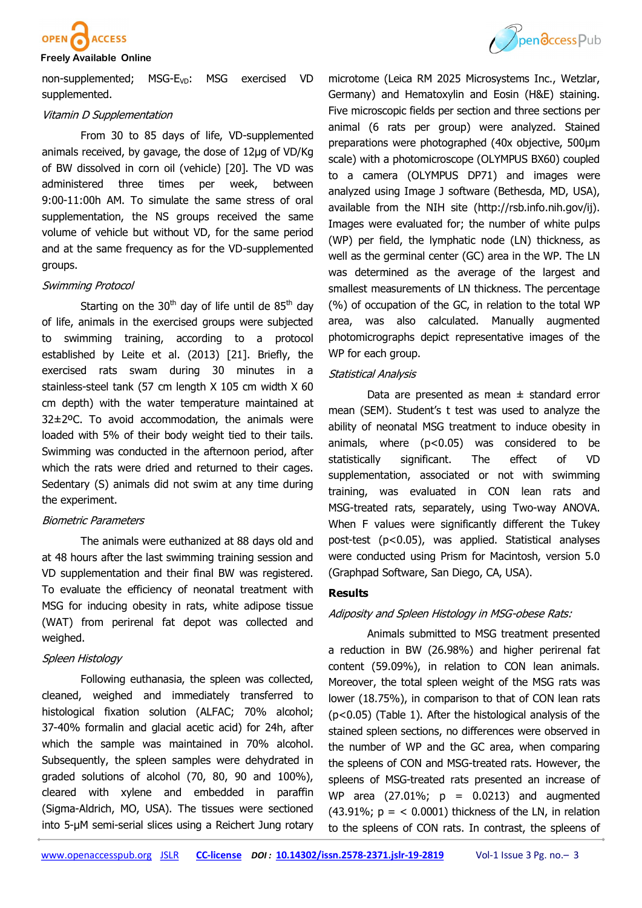

non-supplemented; MSG-E<sub>VD</sub>: MSG exercised VD supplemented.

#### Vitamin D Supplementation

From 30 to 85 days of life, VD-supplemented animals received, by gavage, the dose of 12µg of VD/Kg of BW dissolved in corn oil (vehicle) [20]. The VD was administered three times per week, between 9:00-11:00h AM. To simulate the same stress of oral supplementation, the NS groups received the same volume of vehicle but without VD, for the same period and at the same frequency as for the VD-supplemented groups.

# Swimming Protocol

Starting on the 30<sup>th</sup> day of life until de  $85<sup>th</sup>$  day of life, animals in the exercised groups were subjected to swimming training, according to a protocol established by Leite et al. (2013) [21]. Briefly, the exercised rats swam during 30 minutes in a stainless-steel tank (57 cm length X 105 cm width X 60 cm depth) with the water temperature maintained at 32±2ºC. To avoid accommodation, the animals were loaded with 5% of their body weight tied to their tails. Swimming was conducted in the afternoon period, after which the rats were dried and returned to their cages. Sedentary (S) animals did not swim at any time during the experiment.

#### Biometric Parameters

The animals were euthanized at 88 days old and at 48 hours after the last swimming training session and VD supplementation and their final BW was registered. To evaluate the efficiency of neonatal treatment with MSG for inducing obesity in rats, white adipose tissue (WAT) from perirenal fat depot was collected and weighed.

# Spleen Histology

Following euthanasia, the spleen was collected, cleaned, weighed and immediately transferred to histological fixation solution (ALFAC; 70% alcohol; 37-40% formalin and glacial acetic acid) for 24h, after which the sample was maintained in 70% alcohol. Subsequently, the spleen samples were dehydrated in graded solutions of alcohol (70, 80, 90 and 100%), cleared with xylene and embedded in paraffin (Sigma-Aldrich, MO, USA). The tissues were sectioned into 5-µM semi-serial slices using a Reichert Jung rotary



microtome (Leica RM 2025 Microsystems Inc., Wetzlar, Germany) and Hematoxylin and Eosin (H&E) staining. Five microscopic fields per section and three sections per animal (6 rats per group) were analyzed. Stained preparations were photographed (40x objective, 500μm scale) with a photomicroscope (OLYMPUS BX60) coupled to a camera (OLYMPUS DP71) and images were analyzed using Image J software (Bethesda, MD, USA), available from the NIH site (http://rsb.info.nih.gov/ij). Images were evaluated for; the number of white pulps (WP) per field, the lymphatic node (LN) thickness, as well as the germinal center (GC) area in the WP. The LN was determined as the average of the largest and smallest measurements of LN thickness. The percentage (%) of occupation of the GC, in relation to the total WP area, was also calculated. Manually augmented photomicrographs depict representative images of the WP for each group.

#### Statistical Analysis

Data are presented as mean  $\pm$  standard error mean (SEM). Student's t test was used to analyze the ability of neonatal MSG treatment to induce obesity in animals, where (p<0.05) was considered to be statistically significant. The effect of VD supplementation, associated or not with swimming training, was evaluated in CON lean rats and MSG-treated rats, separately, using Two-way ANOVA. When F values were significantly different the Tukey post-test (p<0.05), was applied. Statistical analyses were conducted using Prism for Macintosh, version 5.0 (Graphpad Software, San Diego, CA, USA).

# **Results**

#### Adiposity and Spleen Histology in MSG-obese Rats:

Animals submitted to MSG treatment presented a reduction in BW (26.98%) and higher perirenal fat content (59.09%), in relation to CON lean animals. Moreover, the total spleen weight of the MSG rats was lower (18.75%), in comparison to that of CON lean rats (p<0.05) (Table 1). After the histological analysis of the stained spleen sections, no differences were observed in the number of WP and the GC area, when comparing the spleens of CON and MSG-treated rats. However, the spleens of MSG-treated rats presented an increase of WP area  $(27.01\%; p = 0.0213)$  and augmented (43.91%;  $p = < 0.0001$ ) thickness of the LN, in relation to the spleens of CON rats. In contrast, the spleens of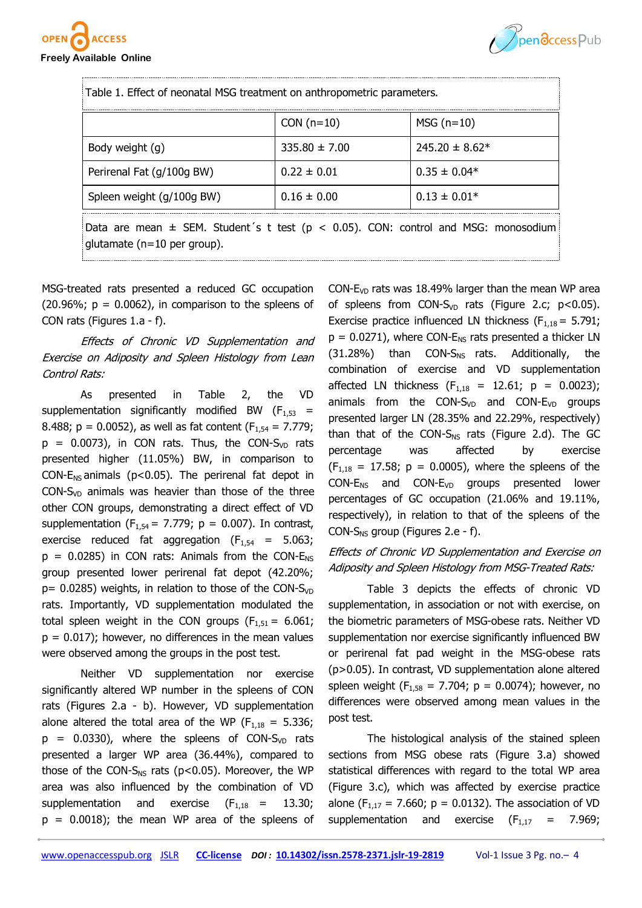



| Table 1. Effect of neonatal MSG treatment on anthropometric parameters.                                                      |                   |                    |  |  |  |  |
|------------------------------------------------------------------------------------------------------------------------------|-------------------|--------------------|--|--|--|--|
|                                                                                                                              | $CON(n=10)$       | $MSG(n=10)$        |  |  |  |  |
| Body weight (g)                                                                                                              | $335.80 \pm 7.00$ | $245.20 \pm 8.62*$ |  |  |  |  |
| Perirenal Fat (g/100g BW)                                                                                                    | $0.22 \pm 0.01$   | $0.35 \pm 0.04*$   |  |  |  |  |
| Spleen weight (g/100g BW)                                                                                                    | $0.16 \pm 0.00$   | $0.13 \pm 0.01*$   |  |  |  |  |
| Data are mean $\pm$ SEM. Student's t test ( $p < 0.05$ ). CON: control and MSG: monosodium<br>glutamate ( $n=10$ per group). |                   |                    |  |  |  |  |

MSG-treated rats presented a reduced GC occupation  $(20.96\%; p = 0.0062)$ , in comparison to the spleens of CON rats (Figures 1.a - f).

Effects of Chronic VD Supplementation and Exercise on Adiposity and Spleen Histology from Lean Control Rats:

As presented in Table 2, the VD supplementation significantly modified BW  $(F_{1,53}$  = 8.488;  $p = 0.0052$ ), as well as fat content ( $F_{1,54} = 7.779$ ;  $p = 0.0073$ ), in CON rats. Thus, the CON-S<sub>VD</sub> rats presented higher (11.05%) BW, in comparison to CON-E<sub>NS</sub> animals ( $p$ <0.05). The perirenal fat depot in CON-S<sub>VD</sub> animals was heavier than those of the three other CON groups, demonstrating a direct effect of VD supplementation ( $F_{1,54}$  = 7.779; p = 0.007). In contrast, exercise reduced fat aggregation  $(F_{1,54} = 5.063)$ ;  $p = 0.0285$ ) in CON rats: Animals from the CON- $E_{NS}$ group presented lower perirenal fat depot (42.20%;  $p= 0.0285$ ) weights, in relation to those of the CON-S<sub>VD</sub> rats. Importantly, VD supplementation modulated the total spleen weight in the CON groups ( $F_{1,51} = 6.061$ ;  $p = 0.017$ ; however, no differences in the mean values were observed among the groups in the post test.

Neither VD supplementation nor exercise significantly altered WP number in the spleens of CON rats (Figures 2.a - b). However, VD supplementation alone altered the total area of the WP ( $F_{1,18} = 5.336$ ;  $p = 0.0330$ , where the spleens of CON-S<sub>VD</sub> rats presented a larger WP area (36.44%), compared to those of the CON-S<sub>NS</sub> rats ( $p$ <0.05). Moreover, the WP area was also influenced by the combination of VD supplementation and exercise  $(F_{1,18} = 13.30)$ ;  $p = 0.0018$ ; the mean WP area of the spleens of

CON- $E_{VD}$  rats was 18.49% larger than the mean WP area of spleens from CON-S<sub>VD</sub> rats (Figure 2.c;  $p < 0.05$ ). Exercise practice influenced LN thickness ( $F_{1,18} = 5.791$ ;  $p = 0.0271$ ), where CON-E<sub>NS</sub> rats presented a thicker LN  $(31.28%)$  than CON-S<sub>NS</sub> rats. Additionally, the combination of exercise and VD supplementation affected LN thickness  $(F_{1,18} = 12.61; p = 0.0023);$ animals from the CON-S<sub>VD</sub> and CON-E<sub>VD</sub> groups presented larger LN (28.35% and 22.29%, respectively) than that of the CON-S<sub>NS</sub> rats (Figure 2.d). The GC percentage was affected by exercise  $(F_{1,18} = 17.58; p = 0.0005)$ , where the spleens of the  $CONF_{NS}$  and  $CONF_{VD}$  groups presented lower percentages of GC occupation (21.06% and 19.11%, respectively), in relation to that of the spleens of the CON-S<sub>NS</sub> group (Figures 2.e - f).

# Effects of Chronic VD Supplementation and Exercise on Adiposity and Spleen Histology from MSG-Treated Rats:

Table 3 depicts the effects of chronic VD supplementation, in association or not with exercise, on the biometric parameters of MSG-obese rats. Neither VD supplementation nor exercise significantly influenced BW or perirenal fat pad weight in the MSG-obese rats (p>0.05). In contrast, VD supplementation alone altered spleen weight ( $F_{1,58} = 7.704$ ; p = 0.0074); however, no differences were observed among mean values in the post test.

The histological analysis of the stained spleen sections from MSG obese rats (Figure 3.a) showed statistical differences with regard to the total WP area (Figure 3.c), which was affected by exercise practice alone (F<sub>1,17</sub> = 7.660;  $p = 0.0132$ ). The association of VD supplementation and exercise  $(F_{1,17} = 7.969)$ ;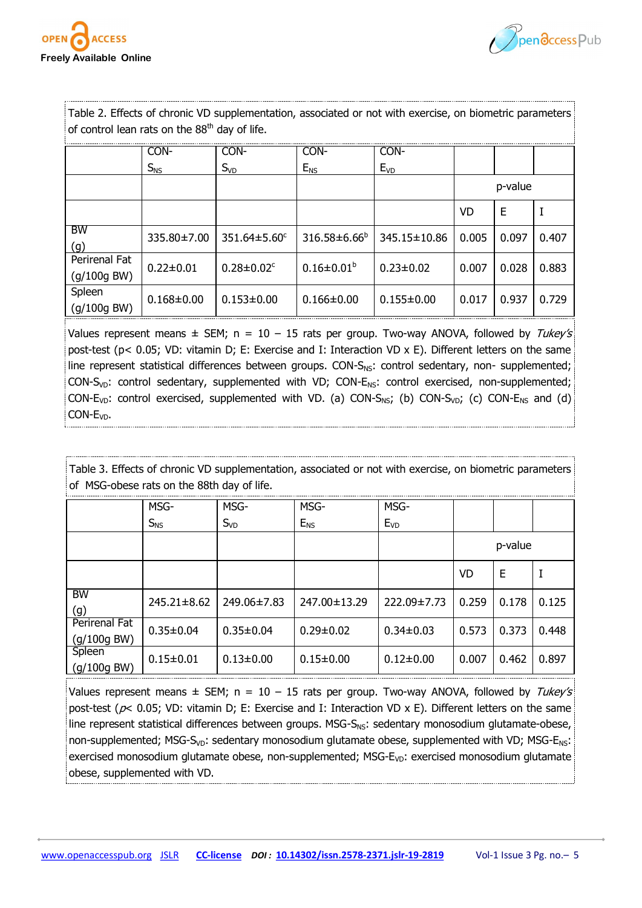



Table 2. Effects of chronic VD supplementation, associated or not with exercise, on biometric parameters of control lean rats on the  $88<sup>th</sup>$  day of life.

|                              | CON-              | CON-                         | CON-                | CON-             |         |       |       |
|------------------------------|-------------------|------------------------------|---------------------|------------------|---------|-------|-------|
|                              | $S_{NS}$          | $S_{VD}$                     | $E_{NS}$            | $E_{VD}$         |         |       |       |
|                              |                   |                              |                     |                  | p-value |       |       |
|                              |                   |                              |                     |                  | VD      | Е     |       |
| <b>BW</b><br>(g)             | $335.80 \pm 7.00$ | $351.64 \pm 5.60^{\circ}$    | $316.58 \pm 6.66^b$ | 345.15±10.86     | 0.005   | 0.097 | 0.407 |
| Perirenal Fat<br>(g/100g BW) | $0.22 \pm 0.01$   | $0.28 \pm 0.02$ <sup>c</sup> | $0.16 \pm 0.01^b$   | $0.23 \pm 0.02$  | 0.007   | 0.028 | 0.883 |
| Spleen<br>(g/100g BW)        | $0.168 \pm 0.00$  | $0.153 \pm 0.00$             | $0.166 \pm 0.00$    | $0.155 \pm 0.00$ | 0.017   | 0.937 | 0.729 |

Values represent means  $\pm$  SEM; n = 10 - 15 rats per group. Two-way ANOVA, followed by Tukey's post-test (p< 0.05; VD: vitamin D; E: Exercise and I: Interaction VD x E). Different letters on the same line represent statistical differences between groups. CON- $S_{NS}$ : control sedentary, non- supplemented;  $CON-S<sub>VD</sub>: control sedentary, supplemented with VD; CON-E<sub>NS</sub>: control exercised, non-supplemented;$ CON-E<sub>VD</sub>: control exercised, supplemented with VD. (a) CON-S<sub>NS</sub>; (b) CON-S<sub>VD</sub>; (c) CON-E<sub>NS</sub> and (d) CON-E<sub>VD</sub>.

Table 3. Effects of chronic VD supplementation, associated or not with exercise, on biometric parameters of MSG-obese rats on the 88th day of life.

|                                | MSG-            | MSG-            | MSG-            | MSG-            |         |       |       |
|--------------------------------|-----------------|-----------------|-----------------|-----------------|---------|-------|-------|
|                                | $S_{NS}$        | $S_{VD}$        | $E_{NS}$        | $E_{VD}$        |         |       |       |
|                                |                 |                 |                 |                 | p-value |       |       |
|                                |                 |                 |                 |                 | VD      | E     | I     |
| <b>BW</b><br>(g)               | 245.21±8.62     | 249.06±7.83     | 247.00±13.29    | 222.09±7.73     | 0.259   | 0.178 | 0.125 |
| Perirenal Fat<br>$(g/100g$ BW) | $0.35 \pm 0.04$ | $0.35 \pm 0.04$ | $0.29 \pm 0.02$ | $0.34 \pm 0.03$ | 0.573   | 0.373 | 0.448 |
| Spleen<br>$(g/100g$ BW)        | $0.15 \pm 0.01$ | $0.13 \pm 0.00$ | $0.15 \pm 0.00$ | $0.12 \pm 0.00$ | 0.007   | 0.462 | 0.897 |

Values represent means  $\pm$  SEM; n = 10 – 15 rats per group. Two-way ANOVA, followed by Tukey's post-test ( $p$ < 0.05; VD: vitamin D; E: Exercise and I: Interaction VD x E). Different letters on the same line represent statistical differences between groups. MSG- $S_{NS}$ : sedentary monosodium glutamate-obese, non-supplemented; MSG-S<sub>VD</sub>: sedentary monosodium glutamate obese, supplemented with VD; MSG-E<sub>NS</sub>: exercised monosodium glutamate obese, non-supplemented; MSG- $E_{VD}$ : exercised monosodium glutamate obese, supplemented with VD.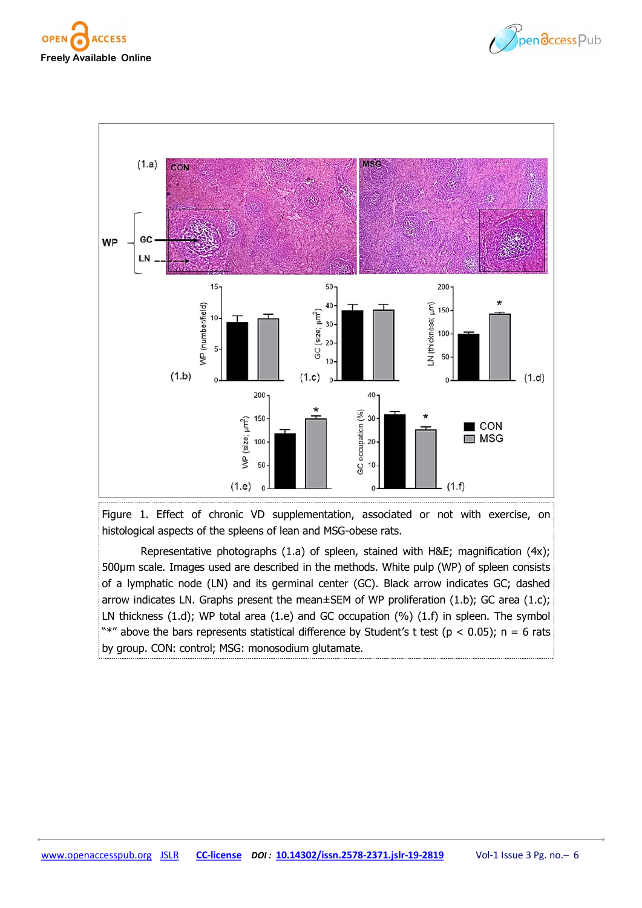





Figure 1. Effect of chronic VD supplementation, associated or not with exercise, on histological aspects of the spleens of lean and MSG-obese rats.

Representative photographs (1.a) of spleen, stained with H&E; magnification (4x); 500µm scale. Images used are described in the methods. White pulp (WP) of spleen consists of a lymphatic node (LN) and its germinal center (GC). Black arrow indicates GC; dashed arrow indicates LN. Graphs present the mean±SEM of WP proliferation (1.b); GC area (1.c); LN thickness (1.d); WP total area (1.e) and GC occupation (%) (1.f) in spleen. The symbol "\*" above the bars represents statistical difference by Student's t test ( $p < 0.05$ ); n = 6 rats by group. CON: control; MSG: monosodium glutamate.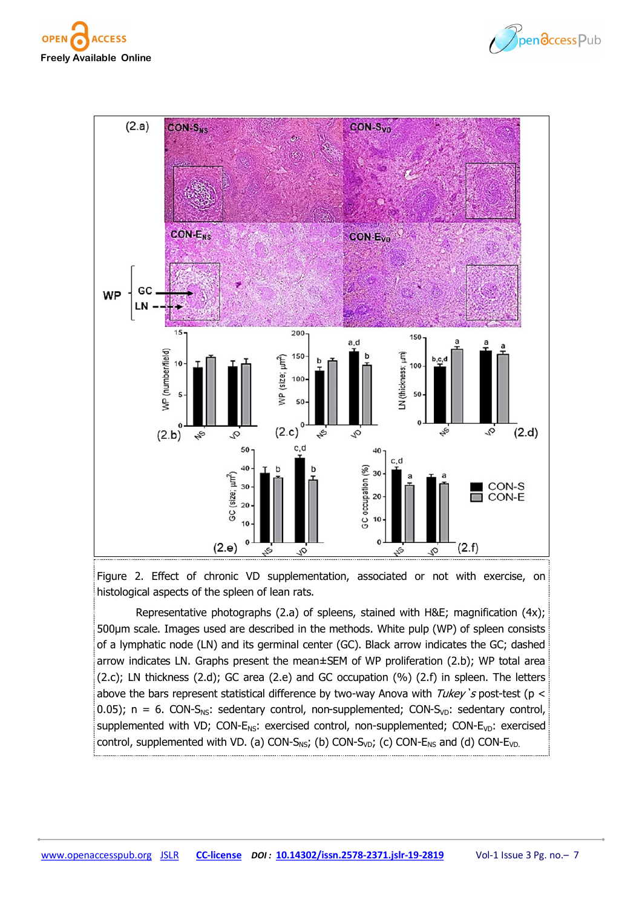





Figure 2. Effect of chronic VD supplementation, associated or not with exercise, on histological aspects of the spleen of lean rats.

Representative photographs (2.a) of spleens, stained with H&E; magnification (4x); 500µm scale. Images used are described in the methods. White pulp (WP) of spleen consists of a lymphatic node (LN) and its germinal center (GC). Black arrow indicates the GC; dashed arrow indicates LN. Graphs present the mean±SEM of WP proliferation (2.b); WP total area (2.c); LN thickness (2.d); GC area (2.e) and GC occupation (%) (2.f) in spleen. The letters above the bars represent statistical difference by two-way Anova with Tukey's post-test (p < 0.05);  $n = 6$ . CON-S<sub>NS</sub>: sedentary control, non-supplemented; CON-S<sub>VD</sub>: sedentary control, supplemented with VD; CON- $E_{NS}$ : exercised control, non-supplemented; CON- $E_{VD}$ : exercised control, supplemented with VD. (a) CON-S<sub>NS</sub>; (b) CON-S<sub>VD</sub>; (c) CON-E<sub>NS</sub> and (d) CON-E<sub>VD.</sub>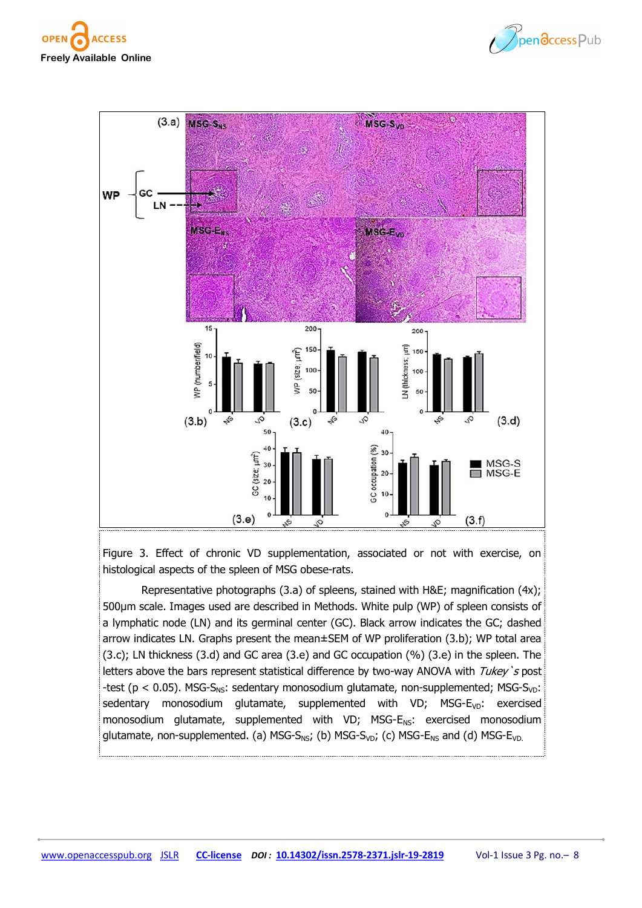





Figure 3. Effect of chronic VD supplementation, associated or not with exercise, on histological aspects of the spleen of MSG obese-rats.

Representative photographs (3.a) of spleens, stained with H&E; magnification (4x); 500µm scale. Images used are described in Methods. White pulp (WP) of spleen consists of a lymphatic node (LN) and its germinal center (GC). Black arrow indicates the GC; dashed arrow indicates LN. Graphs present the mean±SEM of WP proliferation (3.b); WP total area (3.c); LN thickness (3.d) and GC area (3.e) and GC occupation (%) (3.e) in the spleen. The letters above the bars represent statistical difference by two-way ANOVA with  $Tukey$ 's post -test ( $p < 0.05$ ). MSG-S<sub>NS</sub>: sedentary monosodium glutamate, non-supplemented; MSG-S<sub>VD</sub>: sedentary monosodium glutamate, supplemented with VD;  $MSG-E<sub>VD</sub>$ : exercised monosodium glutamate, supplemented with VD; MSG-E<sub>NS</sub>: exercised monosodium glutamate, non-supplemented. (a) MSG-S<sub>NS</sub>; (b) MSG-S<sub>VD</sub>; (c) MSG-E<sub>NS</sub> and (d) MSG-E<sub>VD.</sub>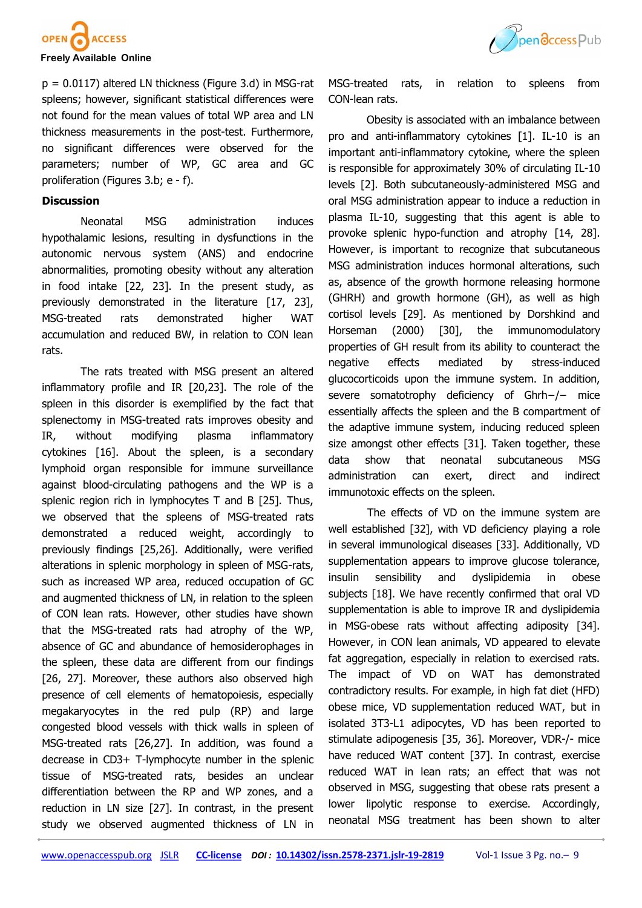



 $p = 0.0117$ ) altered LN thickness (Figure 3.d) in MSG-rat spleens; however, significant statistical differences were not found for the mean values of total WP area and LN thickness measurements in the post-test. Furthermore, no significant differences were observed for the parameters; number of WP, GC area and GC proliferation (Figures 3.b; e - f).

# **Discussion**

Neonatal MSG administration induces hypothalamic lesions, resulting in dysfunctions in the autonomic nervous system (ANS) and endocrine abnormalities, promoting obesity without any alteration in food intake [22, 23]. In the present study, as previously demonstrated in the literature [17, 23], MSG-treated rats demonstrated higher WAT accumulation and reduced BW, in relation to CON lean rats.

The rats treated with MSG present an altered inflammatory profile and IR [20,23]. The role of the spleen in this disorder is exemplified by the fact that splenectomy in MSG-treated rats improves obesity and IR, without modifying plasma inflammatory cytokines [16]. About the spleen, is a secondary lymphoid organ responsible for immune surveillance against blood-circulating pathogens and the WP is a splenic region rich in lymphocytes T and B [25]. Thus, we observed that the spleens of MSG-treated rats demonstrated a reduced weight, accordingly to previously findings [25,26]. Additionally, were verified alterations in splenic morphology in spleen of MSG-rats, such as increased WP area, reduced occupation of GC and augmented thickness of LN, in relation to the spleen of CON lean rats. However, other studies have shown that the MSG-treated rats had atrophy of the WP, absence of GC and abundance of hemosiderophages in the spleen, these data are different from our findings [26, 27]. Moreover, these authors also observed high presence of cell elements of hematopoiesis, especially megakaryocytes in the red pulp (RP) and large congested blood vessels with thick walls in spleen of MSG-treated rats [26,27]. In addition, was found a decrease in CD3+ T-lymphocyte number in the splenic tissue of MSG-treated rats, besides an unclear differentiation between the RP and WP zones, and a reduction in LN size [27]. In contrast, in the present study we observed augmented thickness of LN in

MSG-treated rats, in relation to spleens from CON-lean rats.

Obesity is associated with an imbalance between pro and anti-inflammatory cytokines [1]. IL-10 is an important anti-inflammatory cytokine, where the spleen is responsible for approximately 30% of circulating IL-10 levels [2]. Both subcutaneously-administered MSG and oral MSG administration appear to induce a reduction in plasma IL-10, suggesting that this agent is able to provoke splenic hypo-function and atrophy [14, 28]. However, is important to recognize that subcutaneous MSG administration induces hormonal alterations, such as, absence of the growth hormone releasing hormone (GHRH) and growth hormone (GH), as well as high cortisol levels [29]. As mentioned by Dorshkind and Horseman (2000) [30], the immunomodulatory properties of GH result from its ability to counteract the negative effects mediated by stress-induced glucocorticoids upon the immune system. In addition, severe somatotrophy deficiency of Ghrh−/− mice essentially affects the spleen and the B compartment of the adaptive immune system, inducing reduced spleen size amongst other effects [31]. Taken together, these data show that neonatal subcutaneous MSG administration can exert, direct and indirect immunotoxic effects on the spleen.

The effects of VD on the immune system are well established [32], with VD deficiency playing a role in several immunological diseases [33]. Additionally, VD supplementation appears to improve glucose tolerance, insulin sensibility and dyslipidemia in obese subjects [18]. We have recently confirmed that oral VD supplementation is able to improve IR and dyslipidemia in MSG-obese rats without affecting adiposity [34]. However, in CON lean animals, VD appeared to elevate fat aggregation, especially in relation to exercised rats. The impact of VD on WAT has demonstrated contradictory results. For example, in high fat diet (HFD) obese mice, VD supplementation reduced WAT, but in isolated 3T3-L1 adipocytes, VD has been reported to stimulate adipogenesis [35, 36]. Moreover, VDR-/- mice have reduced WAT content [37]. In contrast, exercise reduced WAT in lean rats; an effect that was not observed in MSG, suggesting that obese rats present a lower lipolytic response to exercise. Accordingly, neonatal MSG treatment has been shown to alter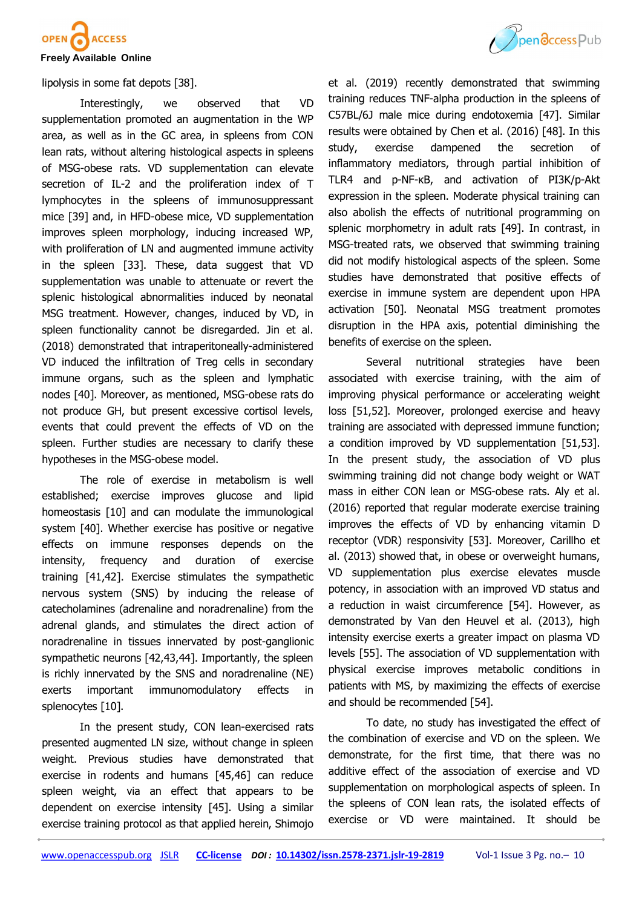

lipolysis in some fat depots [38].

Interestingly, we observed that VD supplementation promoted an augmentation in the WP area, as well as in the GC area, in spleens from CON lean rats, without altering histological aspects in spleens of MSG-obese rats. VD supplementation can elevate secretion of IL-2 and the proliferation index of T lymphocytes in the spleens of immunosuppressant mice [39] and, in HFD-obese mice, VD supplementation improves spleen morphology, inducing increased WP, with proliferation of LN and augmented immune activity in the spleen [33]. These, data suggest that VD supplementation was unable to attenuate or revert the splenic histological abnormalities induced by neonatal MSG treatment. However, changes, induced by VD, in spleen functionality cannot be disregarded. Jin et al. (2018) demonstrated that intraperitoneally-administered VD induced the infiltration of Treg cells in secondary immune organs, such as the spleen and lymphatic nodes [40]. Moreover, as mentioned, MSG-obese rats do not produce GH, but present excessive cortisol levels, events that could prevent the effects of VD on the spleen. Further studies are necessary to clarify these hypotheses in the MSG-obese model.

The role of exercise in metabolism is well established; exercise improves glucose and lipid homeostasis [10] and can modulate the immunological system [40]. Whether exercise has positive or negative effects on immune responses depends on the intensity, frequency and duration of exercise training [41,42]. Exercise stimulates the sympathetic nervous system (SNS) by inducing the release of catecholamines (adrenaline and noradrenaline) from the adrenal glands, and stimulates the direct action of noradrenaline in tissues innervated by post-ganglionic sympathetic neurons [42,43,44]. Importantly, the spleen is richly innervated by the SNS and noradrenaline (NE) exerts important immunomodulatory effects in splenocytes [10].

In the present study, CON lean-exercised rats presented augmented LN size, without change in spleen weight. Previous studies have demonstrated that exercise in rodents and humans [45,46] can reduce spleen weight, via an effect that appears to be dependent on exercise intensity [45]. Using a similar exercise training protocol as that applied herein, Shimojo



et al. (2019) recently demonstrated that swimming training reduces TNF-alpha production in the spleens of C57BL/6J male mice during endotoxemia [47]. Similar results were obtained by Chen et al. (2016) [48]. In this study, exercise dampened the secretion of inflammatory mediators, through partial inhibition of TLR4 and p-NF-κB, and activation of PI3K/p-Akt expression in the spleen. Moderate physical training can also abolish the effects of nutritional programming on splenic morphometry in adult rats [49]. In contrast, in MSG-treated rats, we observed that swimming training did not modify histological aspects of the spleen. Some studies have demonstrated that positive effects of exercise in immune system are dependent upon HPA activation [50]. Neonatal MSG treatment promotes disruption in the HPA axis, potential diminishing the benefits of exercise on the spleen.

Several nutritional strategies have been associated with exercise training, with the aim of improving physical performance or accelerating weight loss [51,52]. Moreover, prolonged exercise and heavy training are associated with depressed immune function; a condition improved by VD supplementation [51,53]. In the present study, the association of VD plus swimming training did not change body weight or WAT mass in either CON lean or MSG-obese rats. Aly et al. (2016) reported that regular moderate exercise training improves the effects of VD by enhancing vitamin D receptor (VDR) responsivity [53]. Moreover, Carillho et al. (2013) showed that, in obese or overweight humans, VD supplementation plus exercise elevates muscle potency, in association with an improved VD status and a reduction in waist circumference [54]. However, as demonstrated by Van den Heuvel et al. (2013), high intensity exercise exerts a greater impact on plasma VD levels [55]. The association of VD supplementation with physical exercise improves metabolic conditions in patients with MS, by maximizing the effects of exercise and should be recommended [54].

To date, no study has investigated the effect of the combination of exercise and VD on the spleen. We demonstrate, for the first time, that there was no additive effect of the association of exercise and VD supplementation on morphological aspects of spleen. In the spleens of CON lean rats, the isolated effects of exercise or VD were maintained. It should be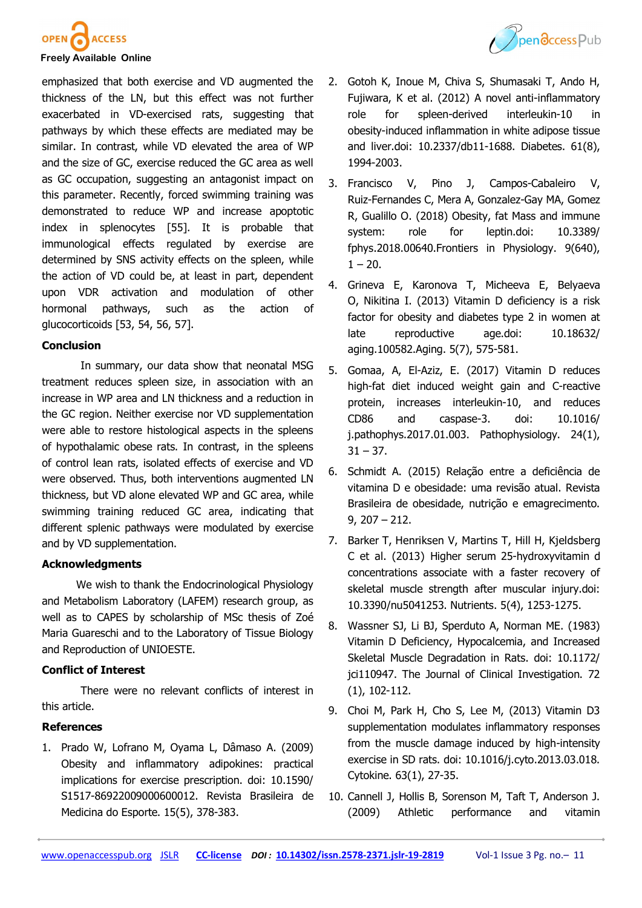



emphasized that both exercise and VD augmented the thickness of the LN, but this effect was not further exacerbated in VD-exercised rats, suggesting that pathways by which these effects are mediated may be similar. In contrast, while VD elevated the area of WP and the size of GC, exercise reduced the GC area as well as GC occupation, suggesting an antagonist impact on this parameter. Recently, forced swimming training was demonstrated to reduce WP and increase apoptotic index in splenocytes [55]. It is probable that immunological effects regulated by exercise are determined by SNS activity effects on the spleen, while the action of VD could be, at least in part, dependent upon VDR activation and modulation of other hormonal pathways, such as the action of glucocorticoids [53, 54, 56, 57].

# **Conclusion**

In summary, our data show that neonatal MSG treatment reduces spleen size, in association with an increase in WP area and LN thickness and a reduction in the GC region. Neither exercise nor VD supplementation were able to restore histological aspects in the spleens of hypothalamic obese rats. In contrast, in the spleens of control lean rats, isolated effects of exercise and VD were observed. Thus, both interventions augmented LN thickness, but VD alone elevated WP and GC area, while swimming training reduced GC area, indicating that different splenic pathways were modulated by exercise and by VD supplementation.

#### **Acknowledgments**

We wish to thank the Endocrinological Physiology and Metabolism Laboratory (LAFEM) research group, as well as to CAPES by scholarship of MSc thesis of Zoé Maria Guareschi and to the Laboratory of Tissue Biology and Reproduction of UNIOESTE.

## **Conflict of Interest**

There were no relevant conflicts of interest in this article.

#### **References**

1. Prado W, Lofrano M, Oyama L, Dâmaso A. (2009) Obesity and inflammatory adipokines: practical implications for exercise prescription. doi: 10.1590/ S1517-86922009000600012. Revista Brasileira de Medicina do Esporte. 15(5), 378-383.

- 2. Gotoh K, Inoue M, Chiva S, Shumasaki T, Ando H, Fujiwara, K et al. (2012) A novel anti-inflammatory role for spleen-derived interleukin-10 in obesity-induced inflammation in white adipose tissue and liver.doi: 10.2337/db11-1688. Diabetes. 61(8), 1994-2003.
- 3. Francisco V, Pino J, Campos-Cabaleiro V, Ruiz-Fernandes C, Mera A, Gonzalez-Gay MA, Gomez R, Gualillo O. (2018) Obesity, fat Mass and immune system: role for leptin.doi: 10.3389/ fphys.2018.00640.Frontiers in Physiology. 9(640),  $1 - 20.$
- 4. [Grineva E,](https://www.ncbi.nlm.nih.gov/pubmed/?term=Grineva%20EN%5BAuthor%5D&cauthor=true&cauthor_uid=23924693) [Karonova T,](https://www.ncbi.nlm.nih.gov/pubmed/?term=Karonova%20T%5BAuthor%5D&cauthor=true&cauthor_uid=23924693) Micheeva E, Belyaeva [O,](https://www.ncbi.nlm.nih.gov/pubmed/?term=Belyaeva%20O%5BAuthor%5D&cauthor=true&cauthor_uid=23924693) [Nikitina I.](https://www.ncbi.nlm.nih.gov/pubmed/?term=Nikitina%20IL%5BAuthor%5D&cauthor=true&cauthor_uid=23924693) (2013) Vitamin D deficiency is a risk factor for obesity and diabetes type 2 in women at late reproductive age.doi: 10.18632/ aging.100582.Aging. 5(7), 575-581.
- 5. Gomaa, A, El-Aziz, E. (2017) Vitamin D reduces high-fat diet induced weight gain and C-reactive protein, increases interleukin-10, and reduces CD86 and caspase-3. doi: 10.1016/ j.pathophys.2017.01.003. Pathophysiology. 24(1),  $31 - 37$ .
- 6. Schmidt A. (2015) Relação entre a deficiência de vitamina D e obesidade: uma revisão atual. Revista Brasileira de obesidade, nutrição e emagrecimento. 9, 207 – 212.
- 7. Barker T, Henriksen V, Martins T, Hill H, Kjeldsberg C et al. (2013) Higher serum 25-hydroxyvitamin d concentrations associate with a faster recovery of skeletal muscle strength after muscular injury.doi: 10.3390/nu5041253. Nutrients. 5(4), 1253-1275.
- 8. Wassner SJ, Li BJ, Sperduto A, Norman ME. (1983) Vitamin D Deficiency, Hypocalcemia, and Increased Skeletal Muscle Degradation in Rats. doi: 10.1172/ jci110947. The Journal of Clinical Investigation. 72 (1), 102-112.
- 9. Choi M, Park H, Cho S, Lee M, (2013) Vitamin D3 supplementation modulates inflammatory responses from the muscle damage induced by high-intensity exercise in SD rats. doi: 10.1016/j.cyto.2013.03.018. Cytokine. 63(1), 27-35.
- 10. Cannell J, Hollis B, Sorenson M, Taft T, Anderson J. (2009) Athletic performance and vitamin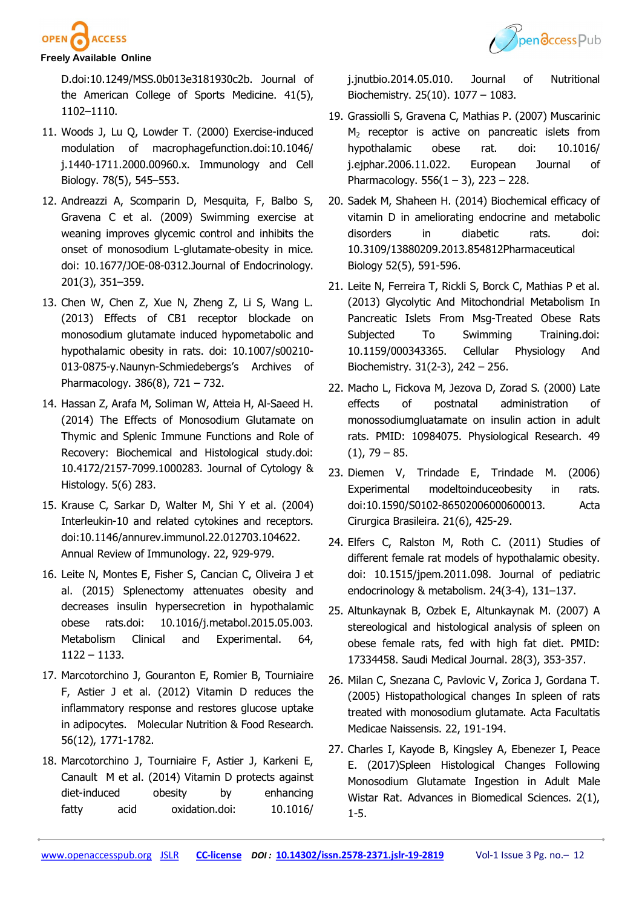

D.doi:10.1249/MSS.0b013e3181930c2b. Journal of the American College of Sports Medicine. 41(5), 1102–1110.

- 11. Woods J, Lu Q, Lowder T. (2000) Exercise-induced modulation of macrophagefunction.doi:10.1046/ j.1440-1711.2000.00960.x. Immunology and Cell Biology. 78(5), 545–553.
- 12. Andreazzi A, Scomparin D, Mesquita, F, Balbo S, Gravena C et al. (2009) Swimming exercise at weaning improves glycemic control and inhibits the onset of monosodium L-glutamate-obesity in mice. doi: 10.1677/JOE-08-0312.Journal of Endocrinology. 201(3), 351–359.
- 13. Chen W, Chen Z, Xue N, Zheng Z, Li S, Wang L. (2013) Effects of CB1 receptor blockade on monosodium glutamate induced hypometabolic and hypothalamic obesity in rats. doi: 10.1007/s00210- 013-0875-y.Naunyn-Schmiedebergs's Archives of Pharmacology. 386(8), 721 – 732.
- 14. Hassan Z, Arafa M, Soliman W, Atteia H, Al-Saeed H. (2014) The Effects of Monosodium Glutamate on Thymic and Splenic Immune Functions and Role of Recovery: Biochemical and Histological study.doi: 10.4172/2157-7099.1000283. Journal of Cytology & Histology. 5(6) 283.
- 15. Krause C, Sarkar D, Walter M, Shi Y et al. (2004) Interleukin-10 and related cytokines and receptors. doi:10.1146/annurev.immunol.22.012703.104622. Annual Review of Immunology. 22, 929-979.
- 16. Leite N, Montes E, Fisher S, Cancian C, Oliveira J et al. (2015) Splenectomy attenuates obesity and decreases insulin hypersecretion in hypothalamic obese rats.doi: 10.1016/j.metabol.2015.05.003. Metabolism Clinical and Experimental. 64, 1122 – 1133.
- 17. Marcotorchino J, Gouranton E, Romier B, Tourniaire F, Astier J et al. (2012) Vitamin D reduces the inflammatory response and restores glucose uptake in adipocytes.Molecular Nutrition & Food Research. 56(12), 1771-1782.
- 18. Marcotorchino J, Tourniaire F, Astier J, Karkeni E, Canault M et al. (2014) Vitamin D protects against diet-induced obesity by enhancing fatty acid oxidation.doi: 10.1016/



j.jnutbio.2014.05.010. Journal of Nutritional Biochemistry. 25(10). 1077 – 1083.

- 19. Grassiolli S, Gravena C, Mathias P. (2007) Muscarinic  $M<sub>2</sub>$  receptor is active on pancreatic islets from hypothalamic obese rat. doi: 10.1016/ j.ejphar.2006.11.022. European Journal of Pharmacology.  $556(1 - 3)$ ,  $223 - 228$ .
- 20. Sadek M, Shaheen H. (2014) Biochemical efficacy of vitamin D in ameliorating endocrine and metabolic disorders in diabetic rats. doi: 10.3109/13880209.2013.854812Pharmaceutical Biology 52(5), 591-596.
- 21. Leite N, Ferreira T, Rickli S, Borck C, Mathias P et al. (2013) Glycolytic And Mitochondrial Metabolism In Pancreatic Islets From Msg-Treated Obese Rats Subjected To Swimming Training.doi: 10.1159/000343365. Cellular Physiology And Biochemistry. 31(2-3), 242 – 256.
- 22. Macho L, Fickova M, Jezova D, Zorad S. (2000) Late effects of postnatal administration of monossodiumgluatamate on insulin action in adult rats. PMID: 10984075. Physiological Research. 49  $(1)$ , 79 – 85.
- 23. Diemen V, Trindade E, Trindade M. (2006) Experimental modeltoinduceobesity in rats. doi:10.1590/S0102-86502006000600013. Acta Cirurgica Brasileira. 21(6), 425-29.
- 24. Elfers C, Ralston M, Roth C. (2011) Studies of different female rat models of hypothalamic obesity. doi: 10.1515/jpem.2011.098. Journal of pediatric endocrinology & metabolism. 24(3-4), 131–137.
- 25. Altunkaynak B, Ozbek E, Altunkaynak M. (2007) A stereological and histological analysis of spleen on obese female rats, fed with high fat diet. PMID: 17334458. Saudi Medical Journal. 28(3), 353-357.
- 26. Milan C, Snezana C, Pavlovic V, Zorica J, Gordana T. (2005) Histopathological changes In spleen of rats treated with monosodium glutamate. Acta Facultatis Medicae Naissensis. 22, 191-194.
- 27. Charles I, Kayode B, Kingsley A, Ebenezer I, Peace E. (2017)Spleen Histological Changes Following Monosodium Glutamate Ingestion in Adult Male Wistar Rat. Advances in Biomedical Sciences. 2(1), 1-5.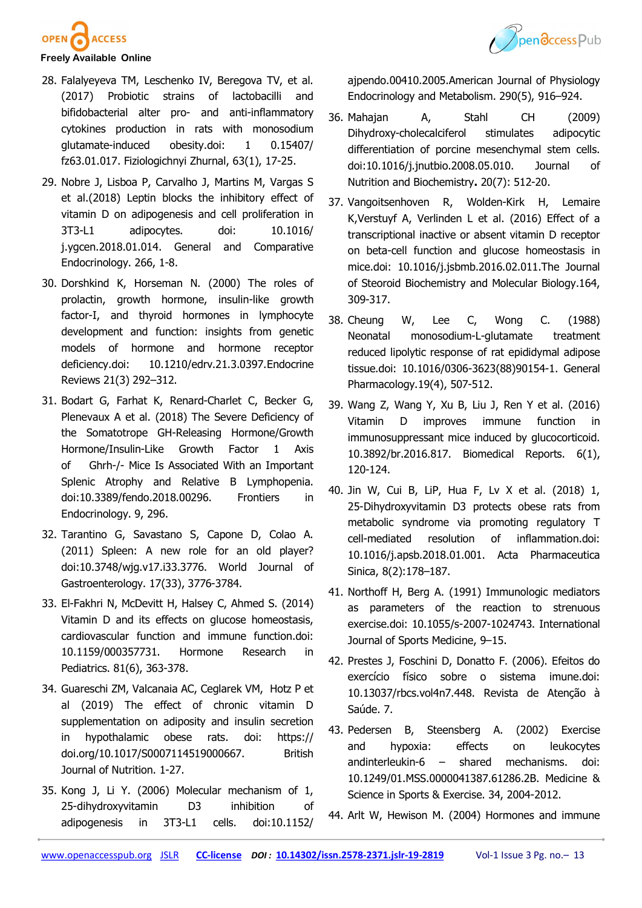



- 28. Falalyeyeva TM, Leschenko IV, Beregova TV, et al. (2017) Probiotic strains of lactobacilli and bifidobacterial alter pro- and anti-inflammatory cytokines production in rats with monosodium glutamate-induced obesity.doi: 1 0.15407/ fz63.01.017. Fiziologichnyi Zhurnal, 63(1), 17-25.
- 29. Nobre J, Lisboa P, Carvalho J, Martins M, Vargas S et al.(2018) Leptin blocks the inhibitory effect of vitamin D on adipogenesis and cell proliferation in 3T3-L1 adipocytes. doi: 10.1016/ j.ygcen.2018.01.014. General and Comparative Endocrinology. 266, 1-8.
- 30. Dorshkind K, Horseman N. (2000) The roles of prolactin, growth hormone, insulin-like growth factor-I, and thyroid hormones in lymphocyte development and function: insights from genetic models of hormone and hormone receptor deficiency.doi: 10.1210/edrv.21.3.0397.Endocrine Reviews 21(3) 292–312.
- 31. Bodart G, Farhat K, Renard-Charlet C, Becker G, Plenevaux A et al. (2018) The Severe Deficiency of the Somatotrope GH-Releasing Hormone/Growth Hormone/Insulin-Like Growth Factor 1 Axis of Ghrh-/- Mice Is Associated With an Important Splenic Atrophy and Relative B Lymphopenia. doi:10.3389/fendo.2018.00296. Frontiers in Endocrinology. 9, 296.
- 32. Tarantino G, Savastano S, Capone D, Colao A. (2011) Spleen: A new role for an old player? doi:10.3748/wjg.v17.i33.3776. World Journal of Gastroenterology. 17(33), 3776-3784.
- 33. El-Fakhri N, McDevitt H, Halsey C, Ahmed S. (2014) Vitamin D and its effects on glucose homeostasis, cardiovascular function and immune function.doi: 10.1159/000357731. Hormone Research in Pediatrics. 81(6), 363-378.
- 34. Guareschi ZM, Valcanaia AC, Ceglarek VM, Hotz P et al (2019) The effect of chronic vitamin D supplementation on adiposity and insulin secretion in hypothalamic obese rats. doi: https:// doi.org/10.1017/S0007114519000667. British Journal of Nutrition. 1-27.
- 35. Kong J, Li Y. (2006) Molecular mechanism of 1, 25-dihydroxyvitamin D3 inhibition of adipogenesis in 3T3-L1 cells. doi:10.1152/

ajpendo.00410.2005.American Journal of Physiology Endocrinology and Metabolism. 290(5), 916–924.

- 36. Mahajan A, Stahl CH (2009) Dihydroxy-cholecalciferol stimulates adipocytic differentiation of porcine mesenchymal stem cells. doi:10.1016/j.jnutbio.2008.05.010. Journal of Nutrition and Biochemistry**.** 20(7): 512-20.
- 37. Vangoitsenhoven R, Wolden-Kirk H, Lemaire K,Verstuyf A, Verlinden L et al. (2016) Effect of a transcriptional inactive or absent vitamin D receptor on beta-cell function and glucose homeostasis in mice.doi: 10.1016/j.jsbmb.2016.02.011.The Journal of Steoroid Biochemistry and Molecular Biology.164, 309-317.
- 38. Cheung W, Lee C, Wong C. (1988) Neonatal monosodium-L-glutamate treatment reduced lipolytic response of rat epididymal adipose tissue.doi: 10.1016/0306-3623(88)90154-1. General Pharmacology.19(4), 507-512.
- 39. Wang Z, Wang Y, Xu B, Liu J, Ren Y et al. (2016) Vitamin D improves immune function in immunosuppressant mice induced by glucocorticoid. 10.3892/br.2016.817. Biomedical Reports. 6(1), 120-124.
- 40. Jin W, Cui B, LiP, Hua F, Lv X et al. (2018) 1, 25-Dihydroxyvitamin D3 protects obese rats from metabolic syndrome via promoting regulatory T cell-mediated resolution of inflammation.doi: 10.1016/j.apsb.2018.01.001. Acta Pharmaceutica Sinica, 8(2):178–187.
- 41. Northoff H, Berg A. (1991) Immunologic mediators as parameters of the reaction to strenuous exercise.doi: 10.1055/s-2007-1024743. International Journal of Sports Medicine, 9–15.
- 42. Prestes J, Foschini D, Donatto F. (2006). Efeitos do exercício físico sobre o sistema imune.doi: 10.13037/rbcs.vol4n7.448. Revista de Atenção à Saúde. 7.
- 43. Pedersen B, Steensberg A. (2002) Exercise and hypoxia: effects on leukocytes andinterleukin-6 – shared mechanisms. doi: 10.1249/01.MSS.0000041387.61286.2B. Medicine & Science in Sports & Exercise. 34, 2004-2012.
- 44. Arlt W, Hewison M. (2004) Hormones and immune